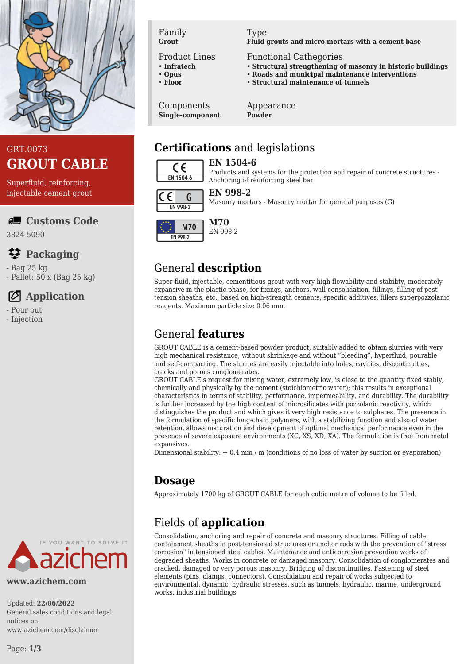

# GRT.0073 **GROUT CABLE**

Superfluid, reinforcing, injectable cement grout

**Customs Code** 

3824 5090

## **Packaging**

- Bag 25 kg - Pallet: 50 x (Bag 25 kg)

# **Application**

- Pour out
- Injection



**www.azichem.com**

Updated: **22/06/2022** General sales conditions and legal notices on www.azichem.com/disclaimer

Page: **1/3**

Family **Grout**

#### Product Lines

- **Infratech**
- **Opus** • **Floor**
- 

Components

#### Type

#### **Fluid grouts and micro mortars with a cement base**

#### Functional Cathegories

- **Structural strengthening of masonry in historic buildings**
- **Roads and municipal maintenance interventions**
- **Structural maintenance of tunnels**

**Single-component**

# Appearance

**Powder**

Anchoring of reinforcing steel bar

# **Certifications** and legislations



#### **EN 1504-6** Products and systems for the protection and repair of concrete structures -

**EN 998-2**

EN 1504-6





#### **M70**

EN 998-2

# General **description**

Super-fluid, injectable, cementitious grout with very high flowability and stability, moderately expansive in the plastic phase, for fixings, anchors, wall consolidation, fillings, filling of posttension sheaths, etc., based on high-strength cements, specific additives, fillers superpozzolanic reagents. Maximum particle size 0.06 mm.

Masonry mortars - Masonry mortar for general purposes (G)

## General **features**

GROUT CABLE is a cement-based powder product, suitably added to obtain slurries with very high mechanical resistance, without shrinkage and without "bleeding", hyperfluid, pourable and self-compacting. The slurries are easily injectable into holes, cavities, discontinuities, cracks and porous conglomerates.

GROUT CABLE's request for mixing water, extremely low, is close to the quantity fixed stably, chemically and physically by the cement (stoichiometric water); this results in exceptional characteristics in terms of stability, performance, impermeability, and durability. The durability is further increased by the high content of microsilicates with pozzolanic reactivity, which distinguishes the product and which gives it very high resistance to sulphates. The presence in the formulation of specific long-chain polymers, with a stabilizing function and also of water retention, allows maturation and development of optimal mechanical performance even in the presence of severe exposure environments (XC, XS, XD, XA). The formulation is free from metal expansives.

Dimensional stability:  $+ 0.4$  mm / m (conditions of no loss of water by suction or evaporation)

# **Dosage**

Approximately 1700 kg of GROUT CABLE for each cubic metre of volume to be filled.

# Fields of **application**

Consolidation, anchoring and repair of concrete and masonry structures. Filling of cable containment sheaths in post-tensioned structures or anchor rods with the prevention of "stress corrosion" in tensioned steel cables. Maintenance and anticorrosion prevention works of degraded sheaths. Works in concrete or damaged masonry. Consolidation of conglomerates and cracked, damaged or very porous masonry. Bridging of discontinuities. Fastening of steel elements (pins, clamps, connectors). Consolidation and repair of works subjected to environmental, dynamic, hydraulic stresses, such as tunnels, hydraulic, marine, underground works, industrial buildings.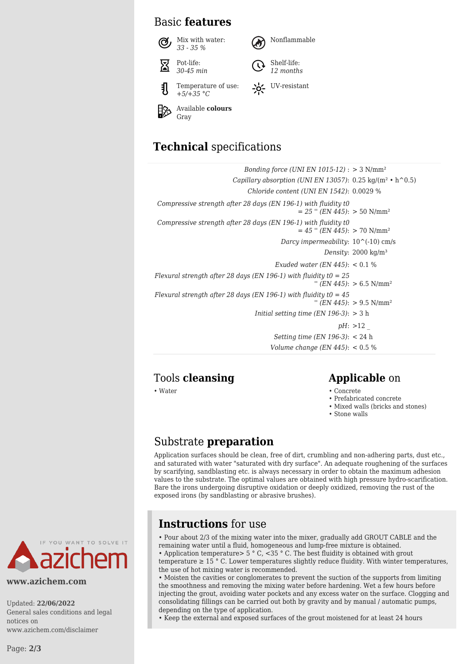#### Basic **features**

*33 - 35 %*



Pot-life: *30-45 min*

 $\mathcal{O}_I$ 





Available **colours** Gray

# **Technical** specifications

| Bonding force (UNI EN 1015-12) : $>$ 3 N/mm <sup>2</sup>                                                      |                                       |
|---------------------------------------------------------------------------------------------------------------|---------------------------------------|
| Capillary absorption (UNI EN 13057): $0.25 \text{ kg/(m}^2 \cdot \text{h}^0.5)$                               |                                       |
| Chloride content (UNI EN 1542): $0.0029\%$                                                                    |                                       |
| Compressive strength after 28 days (EN 196-1) with fluidity t0<br>$= 25$ " (EN 445): $> 50$ N/mm <sup>2</sup> |                                       |
| Compressive strength after 28 days (EN 196-1) with fluidity to<br>$= 45$ " (EN 445): $> 70$ N/mm <sup>2</sup> |                                       |
| Darcy impermeability: $10^(-10)$ cm/s                                                                         |                                       |
|                                                                                                               | Density: $2000 \text{ kg/m}^3$        |
| Exuded water (EN 445): $< 0.1 \%$                                                                             |                                       |
| Flexural strength after 28 days (EN 196-1) with fluidity t0 = 25                                              | " $(EN 445):$ > 6.5 N/mm <sup>2</sup> |
| Flexural strength after 28 days (EN 196-1) with fluidity t0 = $45$                                            | " $(EN 445):$ > 9.5 N/mm <sup>2</sup> |
| Initial setting time (EN 196-3): $>$ 3 h                                                                      |                                       |
|                                                                                                               | pH: >12                               |
| Setting time (EN 196-3): $< 24$ h                                                                             |                                       |
| Volume change (EN 445): $< 0.5 \%$                                                                            |                                       |

## Tools **cleansing Applicable** on

- Water Concrete
	- Prefabricated concrete
	- Mixed walls (bricks and stones)
	- Stone walls

## Substrate **preparation**

Application surfaces should be clean, free of dirt, crumbling and non-adhering parts, dust etc., and saturated with water "saturated with dry surface". An adequate roughening of the surfaces by scarifying, sandblasting etc. is always necessary in order to obtain the maximum adhesion values to the substrate. The optimal values are obtained with high pressure hydro-scarification. Bare the irons undergoing disruptive oxidation or deeply oxidized, removing the rust of the exposed irons (by sandblasting or abrasive brushes).

**www.azichem.com**

Updated: **22/06/2022** General sales conditions and legal notices on www.azichem.com/disclaimer

# **Instructions** for use

• Pour about 2/3 of the mixing water into the mixer, gradually add GROUT CABLE and the remaining water until a fluid, homogeneous and lump-free mixture is obtained. • Application temperature> 5 ° C, <35 ° C. The best fluidity is obtained with grout temperature  $\geq 15$  ° C. Lower temperatures slightly reduce fluidity. With winter temperatures, the use of hot mixing water is recommended.

• Moisten the cavities or conglomerates to prevent the suction of the supports from limiting the smoothness and removing the mixing water before hardening. Wet a few hours before injecting the grout, avoiding water pockets and any excess water on the surface. Clogging and consolidating fillings can be carried out both by gravity and by manual / automatic pumps, depending on the type of application.

• Keep the external and exposed surfaces of the grout moistened for at least 24 hours